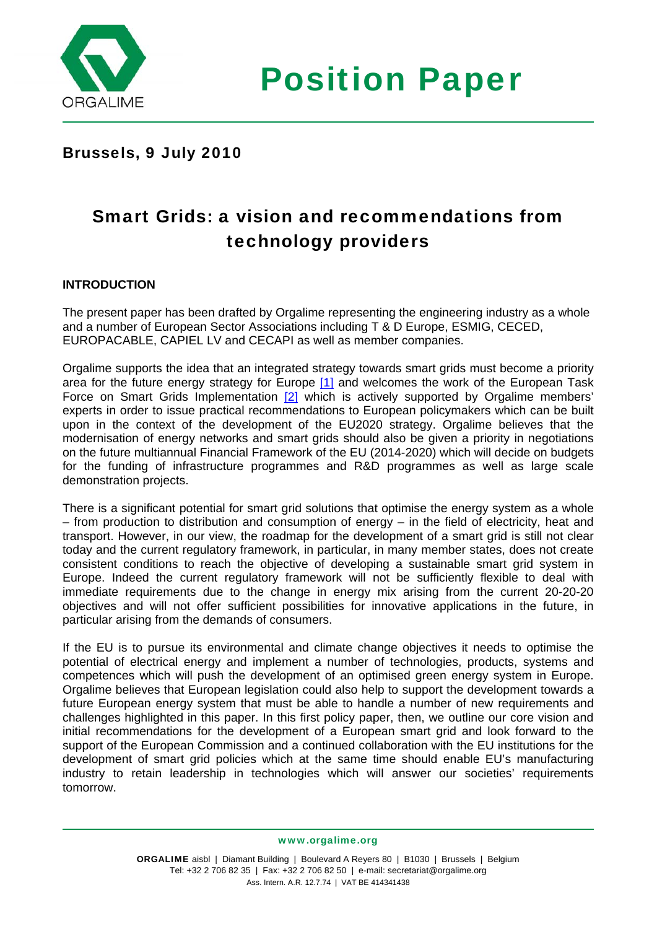

Position Paper

## Brussels, 9 July 2010

# Smart Grids: a vision and recommendations from technology providers

### **INTRODUCTION**

The present paper has been drafted by Orgalime representing the engineering industry as a whole and a number of European Sector Associations including T & D Europe, ESMIG, CECED, EUROPACABLE, CAPIEL LV and CECAPI as well as member companies.

Orgalime supports the idea that an integrated strategy towards smart grids must become a priority area for the future energy strategy for Europe [\[1\]](http://extranet.orgalime.org/home/oc_archivesession/ocid/56de0eab5a5955f9c2f024ea67d05062#_ftn1) and welcomes the work of the European Task Force on Smart Grids Implementation  $[2]$  which is actively supported by Orgalime members' experts in order to issue practical recommendations to European policymakers which can be built upon in the context of the development of the EU2020 strategy. Orgalime believes that the modernisation of energy networks and smart grids should also be given a priority in negotiations on the future multiannual Financial Framework of the EU (2014-2020) which will decide on budgets for the funding of infrastructure programmes and R&D programmes as well as large scale demonstration projects.

There is a significant potential for smart grid solutions that optimise the energy system as a whole – from production to distribution and consumption of energy – in the field of electricity, heat and transport. However, in our view, the roadmap for the development of a smart grid is still not clear today and the current regulatory framework, in particular, in many member states, does not create consistent conditions to reach the objective of developing a sustainable smart grid system in Europe. Indeed the current regulatory framework will not be sufficiently flexible to deal with immediate requirements due to the change in energy mix arising from the current 20-20-20 objectives and will not offer sufficient possibilities for innovative applications in the future, in particular arising from the demands of consumers.

If the EU is to pursue its environmental and climate change objectives it needs to optimise the potential of electrical energy and implement a number of technologies, products, systems and competences which will push the development of an optimised green energy system in Europe. Orgalime believes that European legislation could also help to support the development towards a future European energy system that must be able to handle a number of new requirements and challenges highlighted in this paper. In this first policy paper, then, we outline our core vision and initial recommendations for the development of a European smart grid and look forward to the support of the European Commission and a continued collaboration with the EU institutions for the development of smart grid policies which at the same time should enable EU's manufacturing industry to retain leadership in technologies which will answer our societies' requirements tomorrow.

www.orgalime.org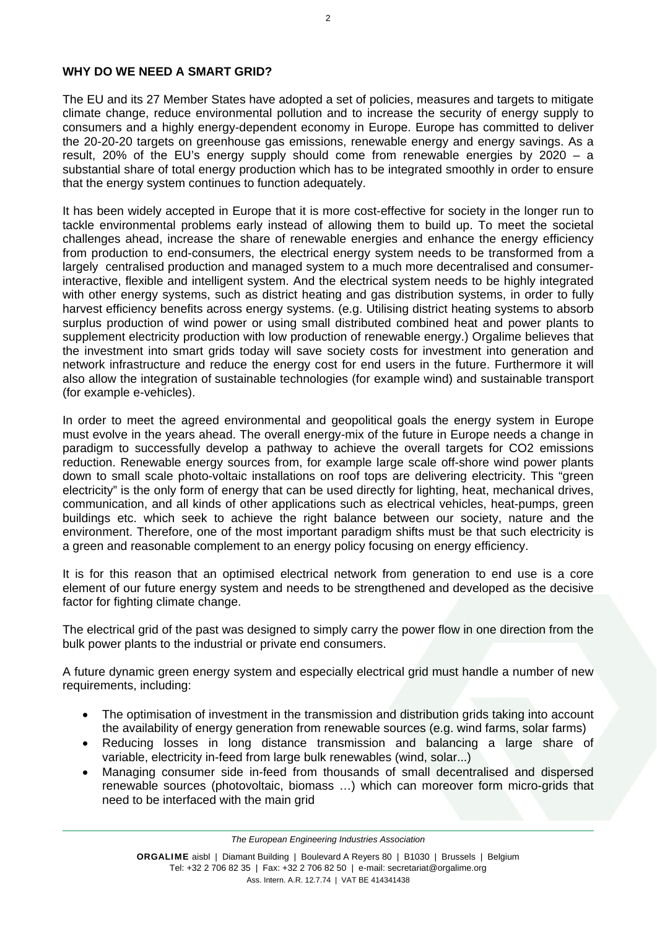### **WHY DO WE NEED A SMART GRID?**

The EU and its 27 Member States have adopted a set of policies, measures and targets to mitigate climate change, reduce environmental pollution and to increase the security of energy supply to consumers and a highly energy-dependent economy in Europe. Europe has committed to deliver the 20-20-20 targets on greenhouse gas emissions, renewable energy and energy savings. As a result, 20% of the EU's energy supply should come from renewable energies by 2020 – a substantial share of total energy production which has to be integrated smoothly in order to ensure that the energy system continues to function adequately.

It has been widely accepted in Europe that it is more cost-effective for society in the longer run to tackle environmental problems early instead of allowing them to build up. To meet the societal challenges ahead, increase the share of renewable energies and enhance the energy efficiency from production to end-consumers, the electrical energy system needs to be transformed from a largely centralised production and managed system to a much more decentralised and consumerinteractive, flexible and intelligent system. And the electrical system needs to be highly integrated with other energy systems, such as district heating and gas distribution systems, in order to fully harvest efficiency benefits across energy systems. (e.g. Utilising district heating systems to absorb surplus production of wind power or using small distributed combined heat and power plants to supplement electricity production with low production of renewable energy.) Orgalime believes that the investment into smart grids today will save society costs for investment into generation and network infrastructure and reduce the energy cost for end users in the future. Furthermore it will also allow the integration of sustainable technologies (for example wind) and sustainable transport (for example e-vehicles).

In order to meet the agreed environmental and geopolitical goals the energy system in Europe must evolve in the years ahead. The overall energy-mix of the future in Europe needs a change in paradigm to successfully develop a pathway to achieve the overall targets for CO2 emissions reduction. Renewable energy sources from, for example large scale off-shore wind power plants down to small scale photo-voltaic installations on roof tops are delivering electricity. This "green electricity" is the only form of energy that can be used directly for lighting, heat, mechanical drives, communication, and all kinds of other applications such as electrical vehicles, heat-pumps, green buildings etc. which seek to achieve the right balance between our society, nature and the environment. Therefore, one of the most important paradigm shifts must be that such electricity is a green and reasonable complement to an energy policy focusing on energy efficiency.

It is for this reason that an optimised electrical network from generation to end use is a core element of our future energy system and needs to be strengthened and developed as the decisive factor for fighting climate change.

The electrical grid of the past was designed to simply carry the power flow in one direction from the bulk power plants to the industrial or private end consumers.

A future dynamic green energy system and especially electrical grid must handle a number of new requirements, including:

- The optimisation of investment in the transmission and distribution grids taking into account the availability of energy generation from renewable sources (e.g. wind farms, solar farms)
- Reducing losses in long distance transmission and balancing a large share of variable, electricity in-feed from large bulk renewables (wind, solar...)
- Managing consumer side in-feed from thousands of small decentralised and dispersed renewable sources (photovoltaic, biomass …) which can moreover form micro-grids that need to be interfaced with the main grid

*The European Engineering Industries Association*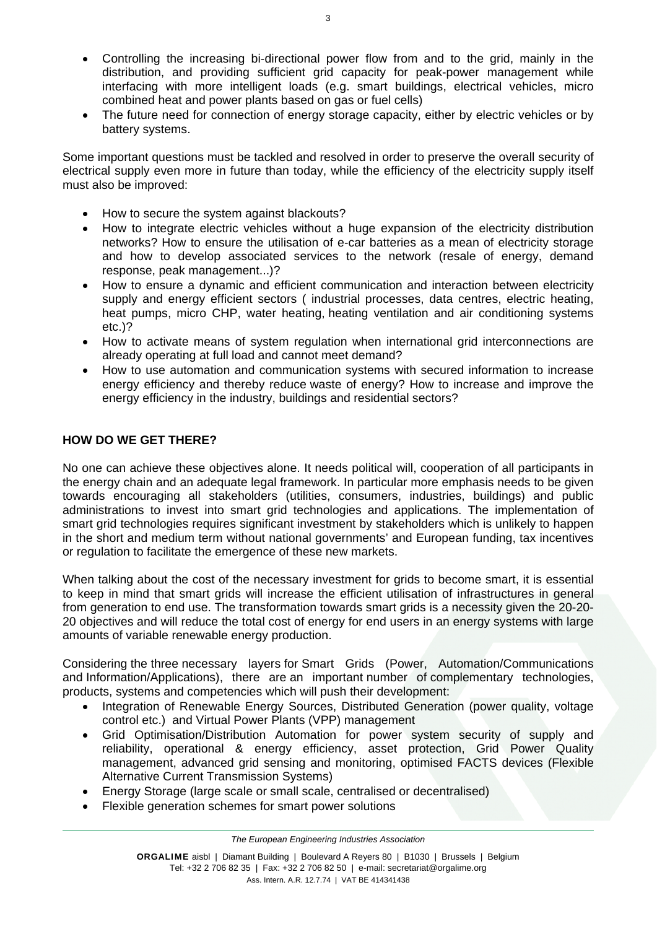- Controlling the increasing bi-directional power flow from and to the grid, mainly in the distribution, and providing sufficient grid capacity for peak-power management while interfacing with more intelligent loads (e.g. smart buildings, electrical vehicles, micro combined heat and power plants based on gas or fuel cells)
- The future need for connection of energy storage capacity, either by electric vehicles or by battery systems.

Some important questions must be tackled and resolved in order to preserve the overall security of electrical supply even more in future than today, while the efficiency of the electricity supply itself must also be improved:

- How to secure the system against blackouts?
- How to integrate electric vehicles without a huge expansion of the electricity distribution networks? How to ensure the utilisation of e-car batteries as a mean of electricity storage and how to develop associated services to the network (resale of energy, demand response, peak management...)?
- How to ensure a dynamic and efficient communication and interaction between electricity supply and energy efficient sectors ( industrial processes, data centres, electric heating, heat pumps, micro CHP, water heating, heating ventilation and air conditioning systems etc.)?
- How to activate means of system regulation when international grid interconnections are already operating at full load and cannot meet demand?
- How to use automation and communication systems with secured information to increase energy efficiency and thereby reduce waste of energy? How to increase and improve the energy efficiency in the industry, buildings and residential sectors?

### **HOW DO WE GET THERE?**

No one can achieve these objectives alone. It needs political will, cooperation of all participants in the energy chain and an adequate legal framework. In particular more emphasis needs to be given towards encouraging all stakeholders (utilities, consumers, industries, buildings) and public administrations to invest into smart grid technologies and applications. The implementation of smart grid technologies requires significant investment by stakeholders which is unlikely to happen in the short and medium term without national governments' and European funding, tax incentives or regulation to facilitate the emergence of these new markets.

When talking about the cost of the necessary investment for grids to become smart, it is essential to keep in mind that smart grids will increase the efficient utilisation of infrastructures in general from generation to end use. The transformation towards smart grids is a necessity given the 20-20- 20 objectives and will reduce the total cost of energy for end users in an energy systems with large amounts of variable renewable energy production.

Considering the three necessary layers for Smart Grids (Power, Automation/Communications and Information/Applications), there are an important number of complementary technologies, products, systems and competencies which will push their development:

- Integration of Renewable Energy Sources, Distributed Generation (power quality, voltage control etc.) and Virtual Power Plants (VPP) management
- Grid Optimisation/Distribution Automation for power system security of supply and reliability, operational & energy efficiency, asset protection, Grid Power Quality management, advanced grid sensing and monitoring, optimised FACTS devices (Flexible Alternative Current Transmission Systems)
- Energy Storage (large scale or small scale, centralised or decentralised)
- Flexible generation schemes for smart power solutions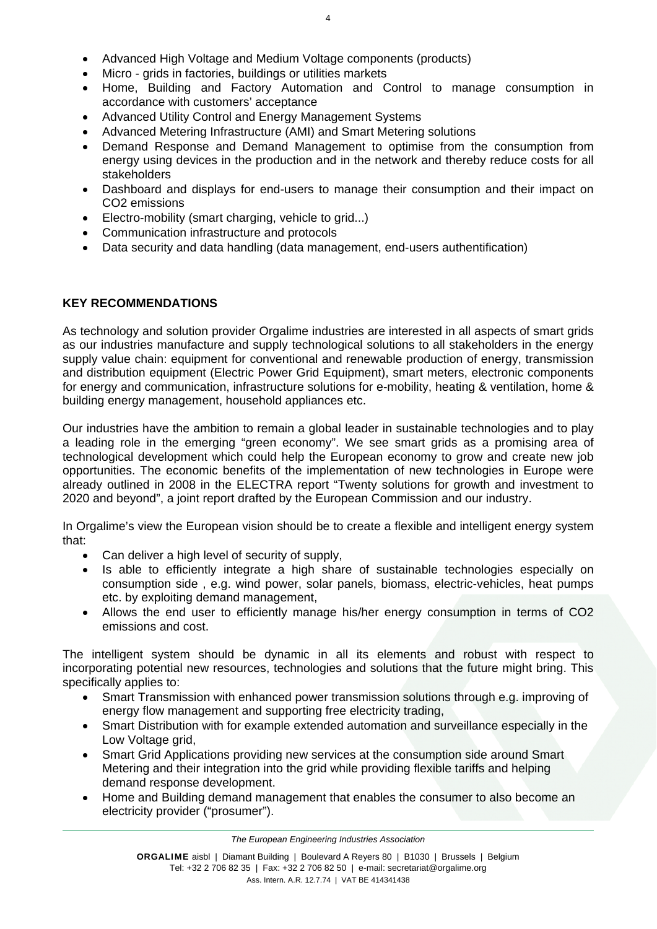- Advanced High Voltage and Medium Voltage components (products)
- Micro grids in factories, buildings or utilities markets
- Home, Building and Factory Automation and Control to manage consumption in accordance with customers' acceptance
- Advanced Utility Control and Energy Management Systems
- Advanced Metering Infrastructure (AMI) and Smart Metering solutions
- Demand Response and Demand Management to optimise from the consumption from energy using devices in the production and in the network and thereby reduce costs for all stakeholders
- Dashboard and displays for end-users to manage their consumption and their impact on CO2 emissions
- Electro-mobility (smart charging, vehicle to grid...)
- Communication infrastructure and protocols
- Data security and data handling (data management, end-users authentification)

#### **KEY RECOMMENDATIONS**

As technology and solution provider Orgalime industries are interested in all aspects of smart grids as our industries manufacture and supply technological solutions to all stakeholders in the energy supply value chain: equipment for conventional and renewable production of energy, transmission and distribution equipment (Electric Power Grid Equipment), smart meters, electronic components for energy and communication, infrastructure solutions for e-mobility, heating & ventilation, home & building energy management, household appliances etc.

Our industries have the ambition to remain a global leader in sustainable technologies and to play a leading role in the emerging "green economy". We see smart grids as a promising area of technological development which could help the European economy to grow and create new job opportunities. The economic benefits of the implementation of new technologies in Europe were already outlined in 2008 in the ELECTRA report "Twenty solutions for growth and investment to 2020 and beyond", a joint report drafted by the European Commission and our industry.

In Orgalime's view the European vision should be to create a flexible and intelligent energy system that:

- Can deliver a high level of security of supply,
- Is able to efficiently integrate a high share of sustainable technologies especially on consumption side , e.g. wind power, solar panels, biomass, electric-vehicles, heat pumps etc. by exploiting demand management,
- Allows the end user to efficiently manage his/her energy consumption in terms of CO2 emissions and cost.

The intelligent system should be dynamic in all its elements and robust with respect to incorporating potential new resources, technologies and solutions that the future might bring. This specifically applies to:

- Smart Transmission with enhanced power transmission solutions through e.g. improving of energy flow management and supporting free electricity trading,
- Smart Distribution with for example extended automation and surveillance especially in the Low Voltage grid.
- Smart Grid Applications providing new services at the consumption side around Smart Metering and their integration into the grid while providing flexible tariffs and helping demand response development.
- Home and Building demand management that enables the consumer to also become an electricity provider ("prosumer").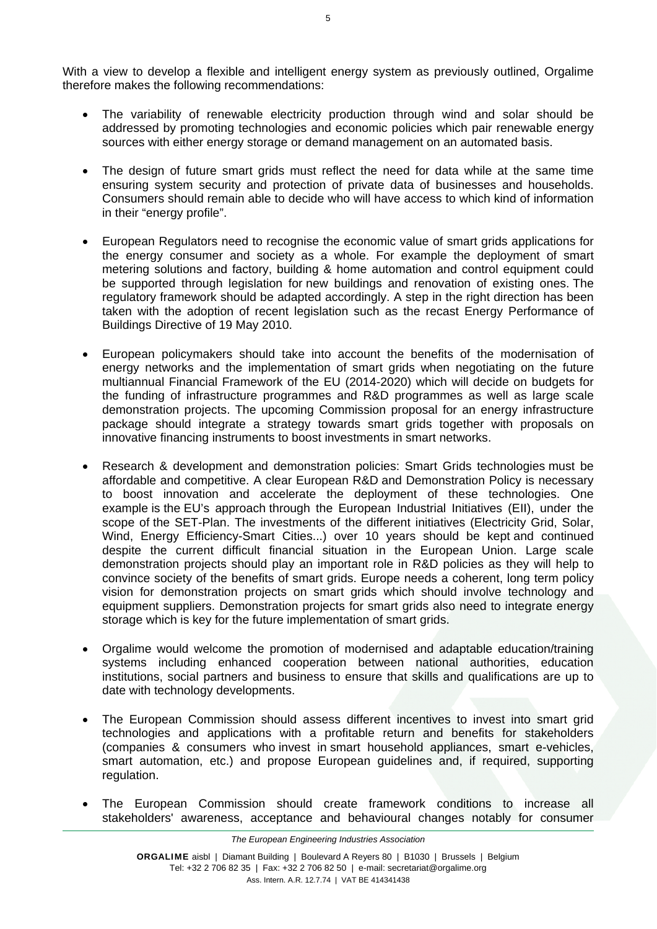With a view to develop a flexible and intelligent energy system as previously outlined, Orgalime therefore makes the following recommendations:

- The variability of renewable electricity production through wind and solar should be addressed by promoting technologies and economic policies which pair renewable energy sources with either energy storage or demand management on an automated basis.
- The design of future smart grids must reflect the need for data while at the same time ensuring system security and protection of private data of businesses and households. Consumers should remain able to decide who will have access to which kind of information in their "energy profile".
- European Regulators need to recognise the economic value of smart grids applications for the energy consumer and society as a whole. For example the deployment of smart metering solutions and factory, building & home automation and control equipment could be supported through legislation for new buildings and renovation of existing ones. The regulatory framework should be adapted accordingly. A step in the right direction has been taken with the adoption of recent legislation such as the recast Energy Performance of Buildings Directive of 19 May 2010.
- European policymakers should take into account the benefits of the modernisation of energy networks and the implementation of smart grids when negotiating on the future multiannual Financial Framework of the EU (2014-2020) which will decide on budgets for the funding of infrastructure programmes and R&D programmes as well as large scale demonstration projects. The upcoming Commission proposal for an energy infrastructure package should integrate a strategy towards smart grids together with proposals on innovative financing instruments to boost investments in smart networks.
- Research & development and demonstration policies: Smart Grids technologies must be affordable and competitive. A clear European R&D and Demonstration Policy is necessary to boost innovation and accelerate the deployment of these technologies. One example is the EU's approach through the European Industrial Initiatives (EII), under the scope of the SET-Plan. The investments of the different initiatives (Electricity Grid, Solar, Wind, Energy Efficiency-Smart Cities...) over 10 years should be kept and continued despite the current difficult financial situation in the European Union. Large scale demonstration projects should play an important role in R&D policies as they will help to convince society of the benefits of smart grids. Europe needs a coherent, long term policy vision for demonstration projects on smart grids which should involve technology and equipment suppliers. Demonstration projects for smart grids also need to integrate energy storage which is key for the future implementation of smart grids.
- Orgalime would welcome the promotion of modernised and adaptable education/training systems including enhanced cooperation between national authorities, education institutions, social partners and business to ensure that skills and qualifications are up to date with technology developments.
- The European Commission should assess different incentives to invest into smart grid technologies and applications with a profitable return and benefits for stakeholders (companies & consumers who invest in smart household appliances, smart e-vehicles, smart automation, etc.) and propose European guidelines and, if required, supporting regulation.
- The European Commission should create framework conditions to increase all stakeholders' awareness, acceptance and behavioural changes notably for consumer

5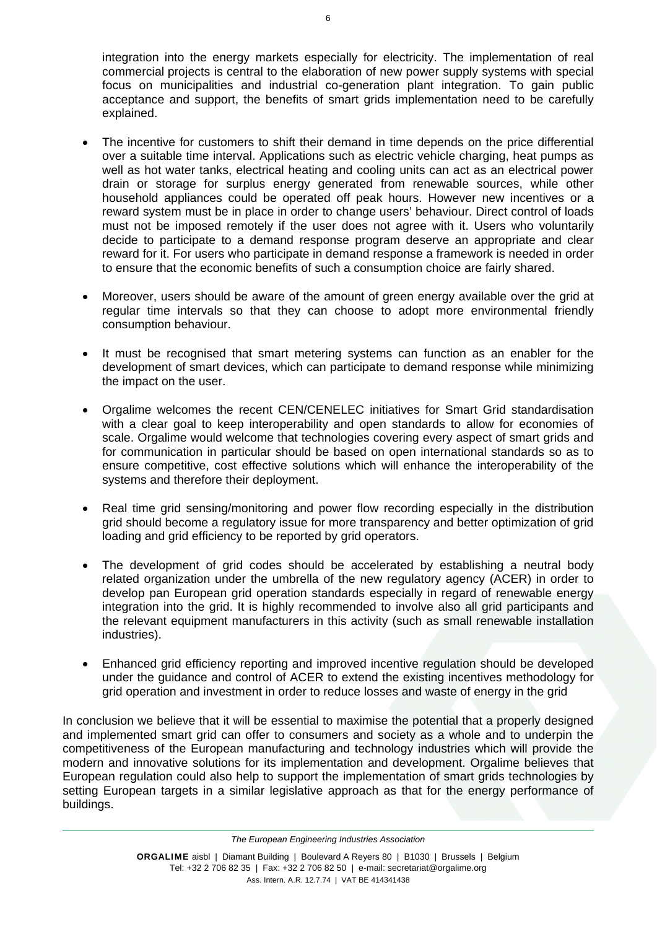integration into the energy markets especially for electricity. The implementation of real commercial projects is central to the elaboration of new power supply systems with special focus on municipalities and industrial co-generation plant integration. To gain public acceptance and support, the benefits of smart grids implementation need to be carefully explained.

- The incentive for customers to shift their demand in time depends on the price differential over a suitable time interval. Applications such as electric vehicle charging, heat pumps as well as hot water tanks, electrical heating and cooling units can act as an electrical power drain or storage for surplus energy generated from renewable sources, while other household appliances could be operated off peak hours. However new incentives or a reward system must be in place in order to change users' behaviour. Direct control of loads must not be imposed remotely if the user does not agree with it. Users who voluntarily decide to participate to a demand response program deserve an appropriate and clear reward for it. For users who participate in demand response a framework is needed in order to ensure that the economic benefits of such a consumption choice are fairly shared.
- Moreover, users should be aware of the amount of green energy available over the grid at regular time intervals so that they can choose to adopt more environmental friendly consumption behaviour.
- It must be recognised that smart metering systems can function as an enabler for the development of smart devices, which can participate to demand response while minimizing the impact on the user.
- Orgalime welcomes the recent CEN/CENELEC initiatives for Smart Grid standardisation with a clear goal to keep interoperability and open standards to allow for economies of scale. Orgalime would welcome that technologies covering every aspect of smart grids and for communication in particular should be based on open international standards so as to ensure competitive, cost effective solutions which will enhance the interoperability of the systems and therefore their deployment.
- Real time grid sensing/monitoring and power flow recording especially in the distribution grid should become a regulatory issue for more transparency and better optimization of grid loading and grid efficiency to be reported by grid operators.
- The development of grid codes should be accelerated by establishing a neutral body related organization under the umbrella of the new regulatory agency (ACER) in order to develop pan European grid operation standards especially in regard of renewable energy integration into the grid. It is highly recommended to involve also all grid participants and the relevant equipment manufacturers in this activity (such as small renewable installation industries).
- Enhanced grid efficiency reporting and improved incentive regulation should be developed under the guidance and control of ACER to extend the existing incentives methodology for grid operation and investment in order to reduce losses and waste of energy in the grid

In conclusion we believe that it will be essential to maximise the potential that a properly designed and implemented smart grid can offer to consumers and society as a whole and to underpin the competitiveness of the European manufacturing and technology industries which will provide the modern and innovative solutions for its implementation and development. Orgalime believes that European regulation could also help to support the implementation of smart grids technologies by setting European targets in a similar legislative approach as that for the energy performance of buildings.